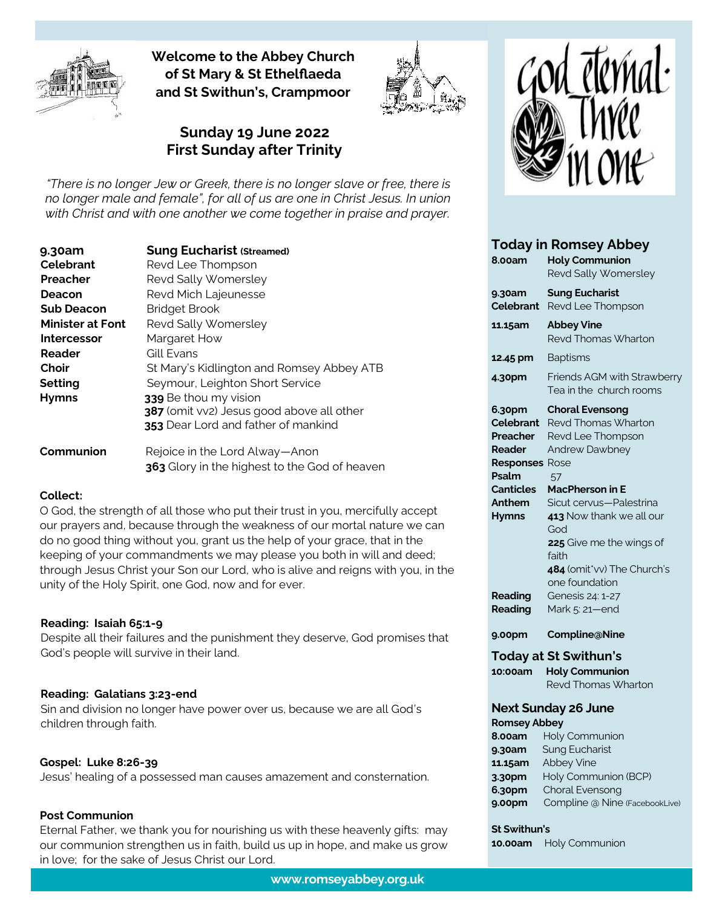

**Welcome to the Abbey Church of St Mary & St Ethelflaeda and St Swithun's, Crampmoor**



## **Sunday 19 June 2022 First Sunday after Trinity**

*"There is no longer Jew or Greek, there is no longer slave or free, there is no longer male and female", for all of us are one in Christ Jesus. In union with Christ and with one another we come together in praise and prayer.* 

| 9.30am<br><b>Celebrant</b> | <b>Sung Eucharist (Streamed)</b><br>Revd Lee Thompson |
|----------------------------|-------------------------------------------------------|
| Preacher                   | Revd Sally Womersley                                  |
| Deacon                     | Revd Mich Lajeunesse                                  |
| <b>Sub Deacon</b>          | <b>Bridget Brook</b>                                  |
| <b>Minister at Font</b>    | Revd Sally Womersley                                  |
| <b>Intercessor</b>         | Margaret How                                          |
| Reader                     | Gill Evans                                            |
| Choir                      | St Mary's Kidlington and Romsey Abbey ATB             |
| Setting                    | Seymour, Leighton Short Service                       |
| <b>Hymns</b>               | 339 Be thou my vision                                 |
|                            | 387 (omit vv2) Jesus good above all other             |
|                            | 353 Dear Lord and father of mankind                   |
| Communion                  | Rejoice in the Lord Alway-Anon                        |
|                            | 363 Glory in the highest to the God of heaven         |

### **Collect:**

O God, the strength of all those who put their trust in you, mercifully accept our prayers and, because through the weakness of our mortal nature we can do no good thing without you, grant us the help of your grace, that in the keeping of your commandments we may please you both in will and deed; through Jesus Christ your Son our Lord, who is alive and reigns with you, in the unity of the Holy Spirit, one God, now and for ever.

### **Reading: Isaiah 65:1-9**

Despite all their failures and the punishment they deserve, God promises that God's people will survive in their land.

### **Reading: Galatians 3:23-end**

Sin and division no longer have power over us, because we are all God's children through faith.

## **Gospel: Luke 8:26-39**

Jesus' healing of a possessed man causes amazement and consternation.

### **Post Communion**

Eternal Father, we thank you for nourishing us with these heavenly gifts: may our communion strengthen us in faith, build us up in hope, and make us grow in love; for the sake of Jesus Christ our Lord.



# **Today in Romsey Abbey**

| <b>8.00am</b>                                                                                                                                  | <b>Holy Communion</b><br>Revd Sally Womersley                                                                                                                                                                                                                                         |
|------------------------------------------------------------------------------------------------------------------------------------------------|---------------------------------------------------------------------------------------------------------------------------------------------------------------------------------------------------------------------------------------------------------------------------------------|
| 9.30am                                                                                                                                         | <b>Sung Eucharist</b><br><b>Celebrant</b> Revd Lee Thompson                                                                                                                                                                                                                           |
| 11.15am                                                                                                                                        | <b>Abbey Vine</b><br>Revd Thomas Wharton                                                                                                                                                                                                                                              |
| 12.45 pm                                                                                                                                       | <b>Baptisms</b>                                                                                                                                                                                                                                                                       |
| 4.30pm                                                                                                                                         | Friends AGM with Strawberry<br>Tea in the church rooms                                                                                                                                                                                                                                |
| 6.30pm<br><b>Celebrant</b><br>Preacher<br><b>Reader</b><br><b>Responses</b> Rose<br>Psalm<br><b>Canticles</b><br><b>Anthem</b><br><b>Hymns</b> | <b>Choral Evensong</b><br><b>Revd Thomas Wharton</b><br>Revd Lee Thompson<br><b>Andrew Dawbney</b><br>57<br><b>MacPherson in E</b><br>Sicut cervus-Palestrina<br>413 Now thank we all our<br>God<br>225 Give me the wings of<br>faith<br>484 (omit*vv) The Church's<br>one foundation |
| <b>Reading</b><br>Reading                                                                                                                      | Genesis 24: 1-27<br>Mark 5: 21-end                                                                                                                                                                                                                                                    |
| 9.00pm                                                                                                                                         | <b>Compline@Nine</b>                                                                                                                                                                                                                                                                  |
| 10:00am                                                                                                                                        | <b>Today at St Swithun's</b><br><b>Holy Communion</b><br>Revd Thomas Wharton                                                                                                                                                                                                          |
| <b>Next Sunday 26 June</b>                                                                                                                     |                                                                                                                                                                                                                                                                                       |

### **Romsey Abbey**

| <b>8.00am</b> | Holy Communion                 |
|---------------|--------------------------------|
| 9.30am        | <b>Sung Eucharist</b>          |
| 11.15am       | <b>Abbey Vine</b>              |
| 3.30pm        | Holy Communion (BCP)           |
| 6.30pm        | <b>Choral Evensong</b>         |
| 9.00pm        | Compline @ Nine (FacebookLive) |
|               |                                |

#### **St Swithun's**

**10.00am** Holy Communion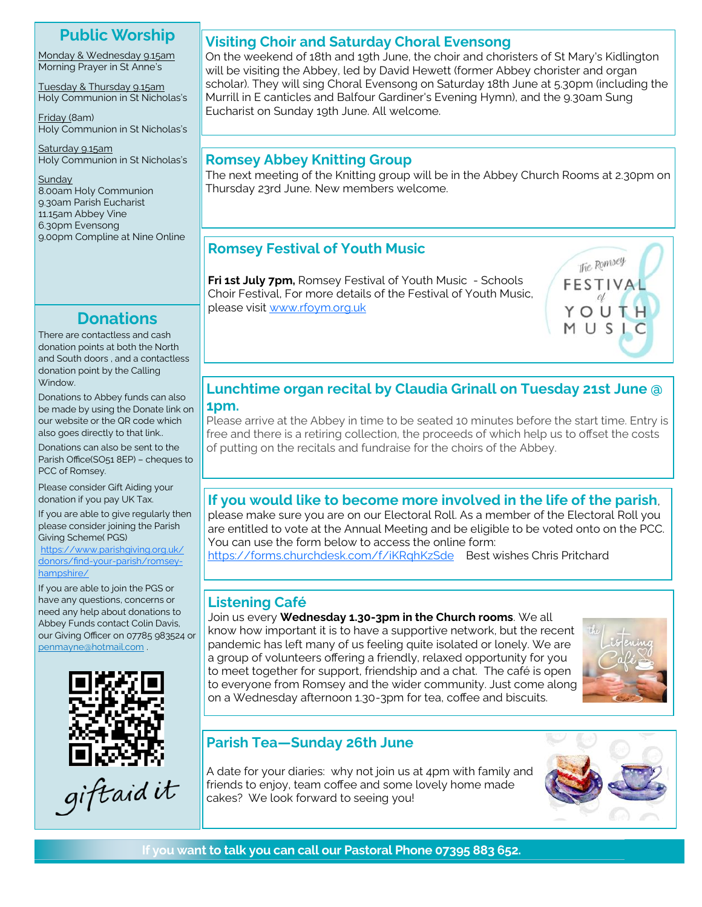# **Public Worship**

Monday & Wednesday 9.15am Morning Prayer in St Anne's

Tuesday & Thursday 9.15am Holy Communion in St Nicholas's

Friday (8am) Holy Communion in St Nicholas's

Saturday 9.15am Holy Communion in St Nicholas's

**Sunday** 8.00am Holy Communion 9.30am Parish Eucharist 11.15am Abbey Vine 6.30pm Evensong 9.00pm Compline at Nine Online

# **Donations**

There are contactless and cash donation points at both the North and South doors , and a contactless donation point by the Calling Window.

Donations to Abbey funds can also be made by using the Donate link on our website or the QR code which also goes directly to that link..

Donations can also be sent to the Parish Office(SO51 8EP) – cheques to PCC of Romsey.

Please consider Gift Aiding your donation if you pay UK Tax.

If you are able to give regularly then please consider joining the Parish Giving Scheme( PGS)

[https://www.parishgiving.org.uk/](https://www.parishgiving.org.uk/donors/find-your-parish/romsey-hampshire/) donors/find-your-[parish/romsey](https://www.parishgiving.org.uk/donors/find-your-parish/romsey-hampshire/)[hampshire/](https://www.parishgiving.org.uk/donors/find-your-parish/romsey-hampshire/)

If you are able to join the PGS or have any questions, concerns or need any help about donations to Abbey Funds contact Colin Davis, our Giving Officer on 07785 983524 or [penmayne@hotmail.com](mailto:penmayne@hotmail.com) .



### **Visiting Choir and Saturday Choral Evensong**

On the weekend of 18th and 19th June, the choir and choristers of St Mary's Kidlington will be visiting the Abbey, led by David Hewett (former Abbey chorister and organ scholar). They will sing Choral Evensong on Saturday 18th June at 5.30pm (including the Murrill in E canticles and Balfour Gardiner's Evening Hymn), and the 9.30am Sung Eucharist on Sunday 19th June. All welcome.

### **Romsey Abbey Knitting Group**

The next meeting of the Knitting group will be in the Abbey Church Rooms at 2.30pm on Thursday 23rd June. New members welcome.

# **Romsey Festival of Youth Music**

**Fri 1st July 7pm,** Romsey Festival of Youth Music - Schools Choir Festival, For more details of the Festival of Youth Music, please visit [www.rfoym.org.uk](http://www.rfoym.org.uk/)

### **Lunchtime organ recital by Claudia Grinall on Tuesday 21st June @ 1pm.**

Please arrive at the Abbey in time to be seated 10 minutes before the start time. Entry is free and there is a retiring collection, the proceeds of which help us to offset the costs of putting on the recitals and fundraise for the choirs of the Abbey.

## **If you would like to become more involved in the life of the parish**,

please make sure you are on our Electoral Roll. As a member of the Electoral Roll you are entitled to vote at the Annual Meeting and be eligible to be voted onto on the PCC. You can use the form below to access the online form:

<https://forms.churchdesk.com/f/iKRqhKzSde>Best wishes Chris Pritchard

### **Listening Café**

### Join us every **Wednesday 1.30-3pm in the Church rooms**. We all

know how important it is to have a supportive network, but the recent pandemic has left many of us feeling quite isolated or lonely. We are a group of volunteers offering a friendly, relaxed opportunity for you to meet together for support, friendship and a chat. The café is open to everyone from Romsey and the wider community. Just come along on a Wednesday afternoon 1.30-3pm for tea, coffee and biscuits.



The Romsey FESTIVAL

YOUT MUS

# **Parish Tea—Sunday 26th June**

A date for your diaries: why not join us at 4pm with family and friends to enjoy, team coffee and some lovely home made cakes? We look forward to seeing you!

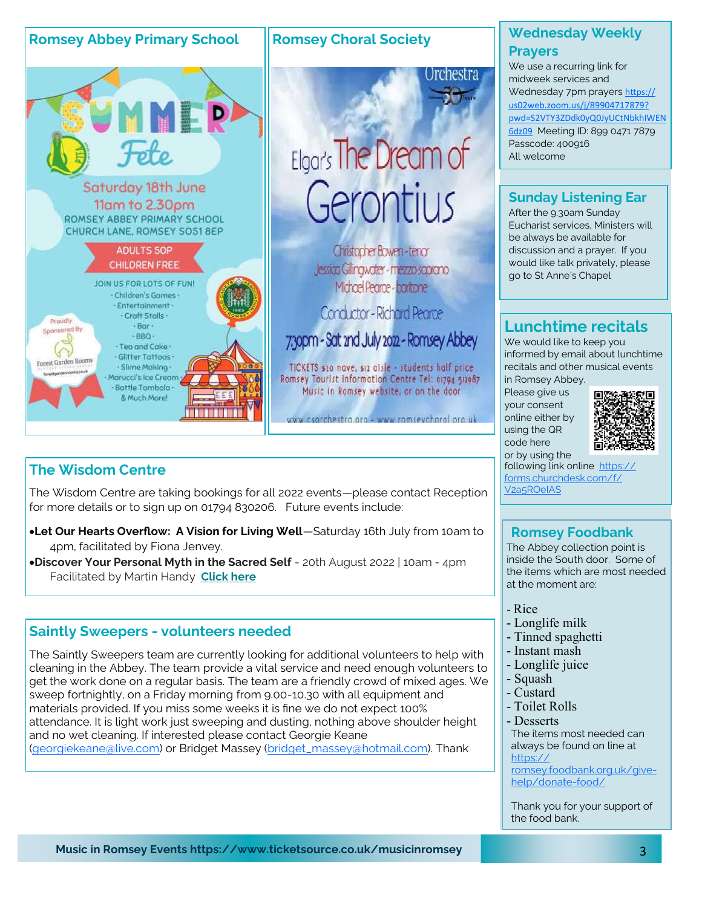# **Romsey Abbey Primary School | Romsey Choral Society**





Jessica Gillingwater - mezzo-soprano Michael Pearce - baritaine

Conductor - Richard Pearce

730pm - Sat and July 2022 - Romsey Abbey

TICKETS \$20 nove, \$12 alsle - students half price Romsey Tourist Information Centre Tel: 01794 512987 Music in Romsey website, or on the door

www.csarchestra.org - www.romseychoral.org.uk

# **The Wisdom Centre**

The Wisdom Centre are taking bookings for all 2022 events—please contact Reception for more details or to sign up on 01794 830206. Future events include:

- •**Let Our Hearts Overflow: A Vision for Living Well**—Saturday 16th July from 10am to 4pm, facilitated by Fiona Jenvey.
- •**Discover Your Personal Myth in the Sacred Self**  20th August 2022 | 10am 4pm Facilitated by Martin Handy **[Click here](https://wisdomhouseromsey.us15.list-manage.com/track/click?u=873c4e1369554100781b01c23&id=21a9cac430&e=6101b70839)**

### **Saintly Sweepers - volunteers needed**

The Saintly Sweepers team are currently looking for additional volunteers to help with cleaning in the Abbey. The team provide a vital service and need enough volunteers to get the work done on a regular basis. The team are a friendly crowd of mixed ages. We sweep fortnightly, on a Friday morning from 9.00-10.30 with all equipment and materials provided. If you miss some weeks it is fine we do not expect 100% attendance. It is light work just sweeping and dusting, nothing above shoulder height and no wet cleaning. If interested please contact Georgie Keane

[\(georgiekeane@live.com\)](mailto:georgiekeane@live.com) or Bridget Massey [\(bridget\\_massey@hotmail.com\).](mailto:bridget_massey@hotmail.com) Thank

### **Wednesday Weekly Prayers**

We use a recurring link for midweek services and Wednesday 7pm prayers [https://](https://us02web.zoom.us/j/89904717879?pwd=S2VTY3ZDdk0yQ0JyUCtNbkhIWEN6dz09) [us02web.zoom.us/j/89904717879?](https://us02web.zoom.us/j/89904717879?pwd=S2VTY3ZDdk0yQ0JyUCtNbkhIWEN6dz09) [pwd=S2VTY3ZDdk0yQ0JyUCtNbkhIWEN](https://us02web.zoom.us/j/89904717879?pwd=S2VTY3ZDdk0yQ0JyUCtNbkhIWEN6dz09) [6dz09](https://us02web.zoom.us/j/89904717879?pwd=S2VTY3ZDdk0yQ0JyUCtNbkhIWEN6dz09) Meeting ID: 899 0471 7879

Passcode: 400916 All welcome

# **Sunday Listening Ear**

After the 9.30am Sunday Eucharist services, Ministers will be always be available for discussion and a prayer. If you would like talk privately, please go to St Anne's Chapel

# **Lunchtime recitals**

We would like to keep you informed by email about lunchtime recitals and other musical events in Romsey Abbey.

Please give us your consent online either by using the QR code here or by using the



following link online [https://](https://forms.churchdesk.com/f/V2a5ROeIAS) [forms.churchdesk.com/f/](https://forms.churchdesk.com/f/V2a5ROeIAS) [V2a5ROeIAS](https://forms.churchdesk.com/f/V2a5ROeIAS)

### **Romsey Foodbank**

The Abbey collection point is inside the South door. Some of the items which are most needed at the moment are:

- Rice
- Longlife milk
- Tinned spaghetti
- Instant mash
- Longlife juice
- Squash
- Custard
- Toilet Rolls
- Desserts The items most needed can always be found on line at [https://](https://romsey.foodbank.org.uk/give-help/donate-food/) [romsey.foodbank.org.uk/give](https://romsey.foodbank.org.uk/give-help/donate-food/)[help/donate](https://romsey.foodbank.org.uk/give-help/donate-food/)-food/

Thank you for your support of the food bank.